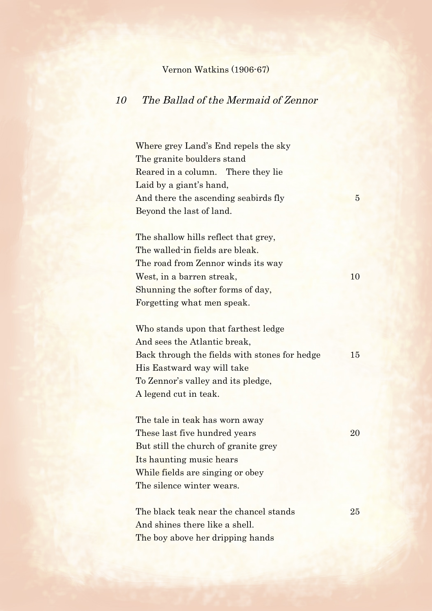## Vernon Watkins (1906-67)

## 10 The Ballad of the Mermaid of Zennor

Where grey Land's End repels the sky The granite boulders stand Reared in a column. There they lie Laid by a giant's hand, And there the ascending seabirds fly 5 Beyond the last of land.

The shallow hills reflect that grey, The walled-in fields are bleak. The road from Zennor winds its way West, in a barren streak, 10 Shunning the softer forms of day, Forgetting what men speak.

Who stands upon that farthest ledge And sees the Atlantic break, Back through the fields with stones for hedge 15 His Eastward way will take To Zennor's valley and its pledge, A legend cut in teak.

The tale in teak has worn away These last five hundred years 20 But still the church of granite grey Its haunting music hears While fields are singing or obey The silence winter wears.

The black teak near the chancel stands 25 And shines there like a shell. The boy above her dripping hands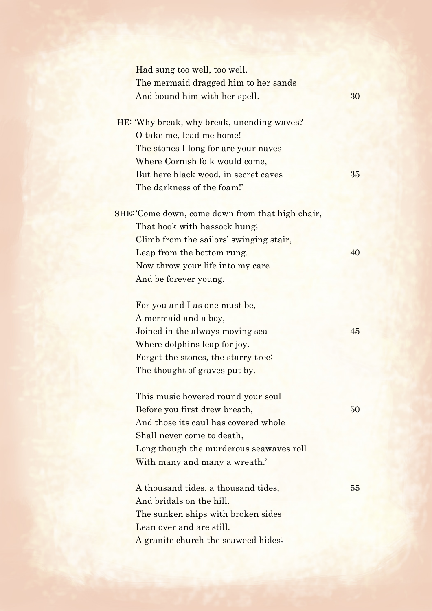| Had sung too well, too well.<br>The mermaid dragged him to her sands<br>And bound him with her spell. | 30 |
|-------------------------------------------------------------------------------------------------------|----|
| HE: 'Why break, why break, unending waves?                                                            |    |
| O take me, lead me home!                                                                              |    |
| The stones I long for are your naves                                                                  |    |
| Where Cornish folk would come,                                                                        |    |
| But here black wood, in secret caves                                                                  | 35 |
| The darkness of the foam!'                                                                            |    |
| SHE: 'Come down, come down from that high chair,                                                      |    |
| That hook with hassock hung;                                                                          |    |
| Climb from the sailors' swinging stair,                                                               |    |
| Leap from the bottom rung.                                                                            | 40 |
| Now throw your life into my care                                                                      |    |
| And be forever young.                                                                                 |    |
| For you and I as one must be,                                                                         |    |
| A mermaid and a boy,                                                                                  |    |
| Joined in the always moving sea                                                                       | 45 |
| Where dolphins leap for joy.                                                                          |    |
| Forget the stones, the starry tree;                                                                   |    |
| The thought of graves put by.                                                                         |    |
| This music hovered round your soul                                                                    |    |
| Before you first drew breath,                                                                         | 50 |
| And those its caul has covered whole                                                                  |    |
| Shall never come to death,                                                                            |    |
| Long though the murderous seawaves roll                                                               |    |
| With many and many a wreath.'                                                                         |    |
| A thousand tides, a thousand tides,                                                                   | 55 |
| And bridals on the hill.                                                                              |    |
| The sunken ships with broken sides                                                                    |    |
| Lean over and are still.                                                                              |    |
| A granite church the seaweed hides;                                                                   |    |
|                                                                                                       |    |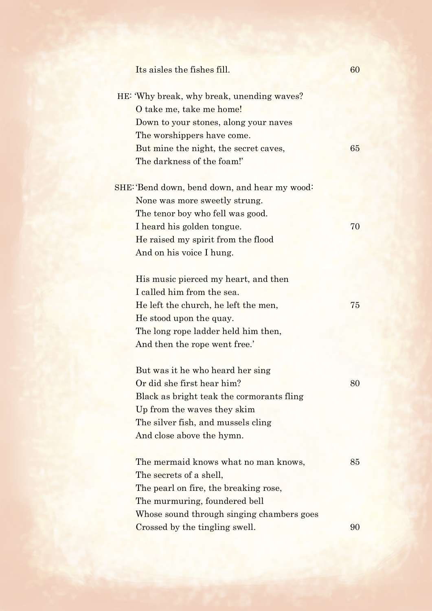| Its aisles the fishes fill.                                                                                                                                                                                          | 60 |
|----------------------------------------------------------------------------------------------------------------------------------------------------------------------------------------------------------------------|----|
| HE: 'Why break, why break, unending waves?<br>O take me, take me home!<br>Down to your stones, along your naves<br>The worshippers have come.<br>But mine the night, the secret caves,<br>The darkness of the foam!' | 65 |
| SHE: Bend down, bend down, and hear my wood:<br>None was more sweetly strung.<br>The tenor boy who fell was good.<br>I heard his golden tongue.                                                                      | 70 |
| He raised my spirit from the flood<br>And on his voice I hung.                                                                                                                                                       |    |
| His music pierced my heart, and then<br>I called him from the sea.<br>He left the church, he left the men,<br>He stood upon the quay.<br>The long rope ladder held him then,<br>And then the rope went free.'        | 75 |
| But was it he who heard her sing<br>Or did she first hear him?<br>Black as bright teak the cormorants fling<br>Up from the waves they skim<br>The silver fish, and mussels cling<br>And close above the hymn.        | 80 |
| The mermaid knows what no man knows,<br>The secrets of a shell,<br>The pearl on fire, the breaking rose,<br>The murmuring, foundered bell<br>Whose sound through singing chambers goes                               | 85 |
| Crossed by the tingling swell.                                                                                                                                                                                       | 90 |